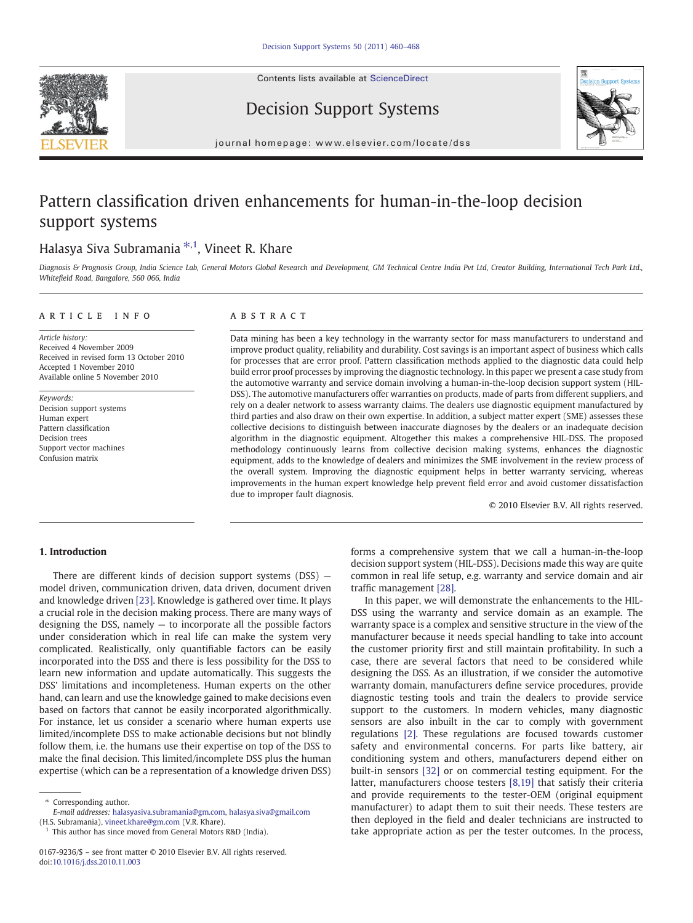Contents lists available at [ScienceDirect](http://www.sciencedirect.com/science/journal/01679236)





Decision Support Systems

journal homepage: www.elsevier.com/locate/dss

## Pattern classification driven enhancements for human-in-the-loop decision support systems

## Halasya Siva Subramania \*,<sup>1</sup>, Vineet R. Khare

Diagnosis & Prognosis Group, India Science Lab, General Motors Global Research and Development, GM Technical Centre India Pvt Ltd, Creator Building, International Tech Park Ltd., Whitefield Road, Bangalore, 560 066, India

### ARTICLE INFO ABSTRACT

Article history: Received 4 November 2009 Received in revised form 13 October 2010 Accepted 1 November 2010 Available online 5 November 2010

Keywords: Decision support systems Human expert Pattern classification Decision trees Support vector machines Confusion matrix

Data mining has been a key technology in the warranty sector for mass manufacturers to understand and improve product quality, reliability and durability. Cost savings is an important aspect of business which calls for processes that are error proof. Pattern classification methods applied to the diagnostic data could help build error proof processes by improving the diagnostic technology. In this paper we present a case study from the automotive warranty and service domain involving a human-in-the-loop decision support system (HIL-DSS). The automotive manufacturers offer warranties on products, made of parts from different suppliers, and rely on a dealer network to assess warranty claims. The dealers use diagnostic equipment manufactured by third parties and also draw on their own expertise. In addition, a subject matter expert (SME) assesses these collective decisions to distinguish between inaccurate diagnoses by the dealers or an inadequate decision algorithm in the diagnostic equipment. Altogether this makes a comprehensive HIL-DSS. The proposed methodology continuously learns from collective decision making systems, enhances the diagnostic equipment, adds to the knowledge of dealers and minimizes the SME involvement in the review process of the overall system. Improving the diagnostic equipment helps in better warranty servicing, whereas improvements in the human expert knowledge help prevent field error and avoid customer dissatisfaction due to improper fault diagnosis.

© 2010 Elsevier B.V. All rights reserved.

### 1. Introduction

There are different kinds of decision support systems  $(DSS)$  – model driven, communication driven, data driven, document driven and knowledge driven [\[23\].](#page--1-0) Knowledge is gathered over time. It plays a crucial role in the decision making process. There are many ways of designing the DSS, namely — to incorporate all the possible factors under consideration which in real life can make the system very complicated. Realistically, only quantifiable factors can be easily incorporated into the DSS and there is less possibility for the DSS to learn new information and update automatically. This suggests the DSS' limitations and incompleteness. Human experts on the other hand, can learn and use the knowledge gained to make decisions even based on factors that cannot be easily incorporated algorithmically. For instance, let us consider a scenario where human experts use limited/incomplete DSS to make actionable decisions but not blindly follow them, i.e. the humans use their expertise on top of the DSS to make the final decision. This limited/incomplete DSS plus the human expertise (which can be a representation of a knowledge driven DSS)

This author has since moved from General Motors R&D (India).

forms a comprehensive system that we call a human-in-the-loop decision support system (HIL-DSS). Decisions made this way are quite common in real life setup, e.g. warranty and service domain and air traffic management [\[28\]](#page--1-0).

In this paper, we will demonstrate the enhancements to the HIL-DSS using the warranty and service domain as an example. The warranty space is a complex and sensitive structure in the view of the manufacturer because it needs special handling to take into account the customer priority first and still maintain profitability. In such a case, there are several factors that need to be considered while designing the DSS. As an illustration, if we consider the automotive warranty domain, manufacturers define service procedures, provide diagnostic testing tools and train the dealers to provide service support to the customers. In modern vehicles, many diagnostic sensors are also inbuilt in the car to comply with government regulations [\[2\]](#page--1-0). These regulations are focused towards customer safety and environmental concerns. For parts like battery, air conditioning system and others, manufacturers depend either on built-in sensors [\[32\]](#page--1-0) or on commercial testing equipment. For the latter, manufacturers choose testers [\[8,19\]](#page--1-0) that satisfy their criteria and provide requirements to the tester-OEM (original equipment manufacturer) to adapt them to suit their needs. These testers are then deployed in the field and dealer technicians are instructed to take appropriate action as per the tester outcomes. In the process,

<sup>⁎</sup> Corresponding author. E-mail addresses: [halasyasiva.subramania@gm.com,](mailto:halasyasiva.subramania@gm.com) [halasya.siva@gmail.com](mailto:halasya.siva@gmail.com) (H.S. Subramania), [vineet.khare@gm.com](mailto:halasyasiva.subramania@gm.com) (V.R. Khare).

<sup>0167-9236/\$</sup> – see front matter © 2010 Elsevier B.V. All rights reserved. doi[:10.1016/j.dss.2010.11.003](http://dx.doi.org/10.1016/j.dss.2010.11.003)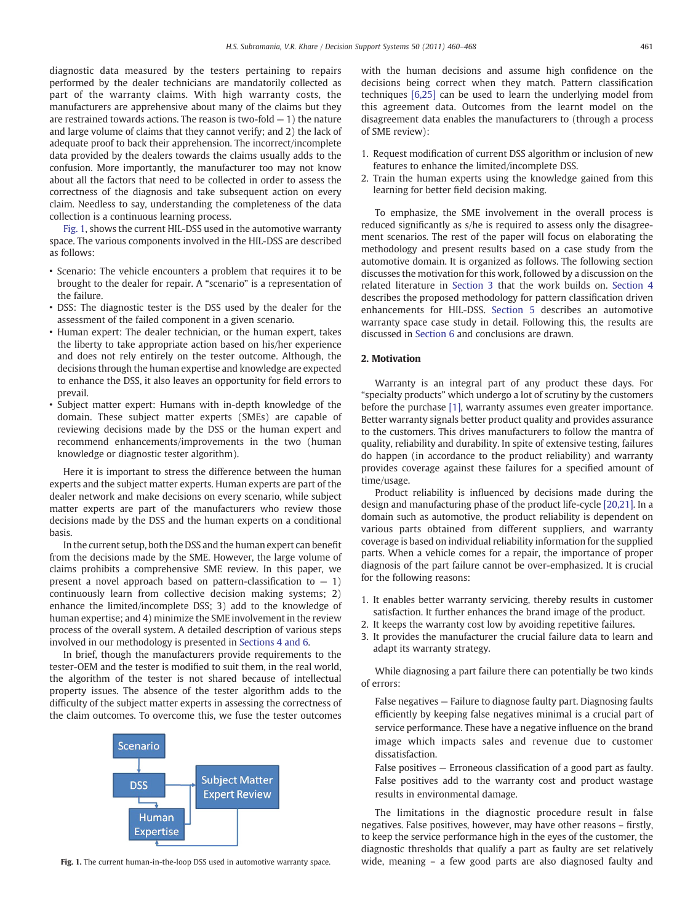diagnostic data measured by the testers pertaining to repairs performed by the dealer technicians are mandatorily collected as part of the warranty claims. With high warranty costs, the manufacturers are apprehensive about many of the claims but they are restrained towards actions. The reason is two-fold  $-1$ ) the nature and large volume of claims that they cannot verify; and 2) the lack of adequate proof to back their apprehension. The incorrect/incomplete data provided by the dealers towards the claims usually adds to the confusion. More importantly, the manufacturer too may not know about all the factors that need to be collected in order to assess the correctness of the diagnosis and take subsequent action on every claim. Needless to say, understanding the completeness of the data collection is a continuous learning process.

Fig. 1, shows the current HIL-DSS used in the automotive warranty space. The various components involved in the HIL-DSS are described as follows:

- Scenario: The vehicle encounters a problem that requires it to be brought to the dealer for repair. A "scenario" is a representation of the failure.
- DSS: The diagnostic tester is the DSS used by the dealer for the assessment of the failed component in a given scenario.
- Human expert: The dealer technician, or the human expert, takes the liberty to take appropriate action based on his/her experience and does not rely entirely on the tester outcome. Although, the decisions through the human expertise and knowledge are expected to enhance the DSS, it also leaves an opportunity for field errors to prevail.
- Subject matter expert: Humans with in-depth knowledge of the domain. These subject matter experts (SMEs) are capable of reviewing decisions made by the DSS or the human expert and recommend enhancements/improvements in the two (human knowledge or diagnostic tester algorithm).

Here it is important to stress the difference between the human experts and the subject matter experts. Human experts are part of the dealer network and make decisions on every scenario, while subject matter experts are part of the manufacturers who review those decisions made by the DSS and the human experts on a conditional basis.

In the current setup, both the DSS and the human expert can benefit from the decisions made by the SME. However, the large volume of claims prohibits a comprehensive SME review. In this paper, we present a novel approach based on pattern-classification to  $-1$ ) continuously learn from collective decision making systems; 2) enhance the limited/incomplete DSS; 3) add to the knowledge of human expertise; and 4) minimize the SME involvement in the review process of the overall system. A detailed description of various steps involved in our methodology is presented in [Sections 4 and 6.](#page--1-0)

In brief, though the manufacturers provide requirements to the tester-OEM and the tester is modified to suit them, in the real world, the algorithm of the tester is not shared because of intellectual property issues. The absence of the tester algorithm adds to the difficulty of the subject matter experts in assessing the correctness of the claim outcomes. To overcome this, we fuse the tester outcomes



with the human decisions and assume high confidence on the decisions being correct when they match. Pattern classification techniques [\[6,25\]](#page--1-0) can be used to learn the underlying model from this agreement data. Outcomes from the learnt model on the disagreement data enables the manufacturers to (through a process of SME review):

- 1. Request modification of current DSS algorithm or inclusion of new features to enhance the limited/incomplete DSS.
- 2. Train the human experts using the knowledge gained from this learning for better field decision making.

To emphasize, the SME involvement in the overall process is reduced significantly as s/he is required to assess only the disagreement scenarios. The rest of the paper will focus on elaborating the methodology and present results based on a case study from the automotive domain. It is organized as follows. The following section discusses the motivation for this work, followed by a discussion on the related literature in [Section 3](#page--1-0) that the work builds on. [Section 4](#page--1-0) describes the proposed methodology for pattern classification driven enhancements for HIL-DSS. [Section 5](#page--1-0) describes an automotive warranty space case study in detail. Following this, the results are discussed in [Section 6](#page--1-0) and conclusions are drawn.

### 2. Motivation

Warranty is an integral part of any product these days. For "specialty products" which undergo a lot of scrutiny by the customers before the purchase [\[1\]](#page--1-0), warranty assumes even greater importance. Better warranty signals better product quality and provides assurance to the customers. This drives manufacturers to follow the mantra of quality, reliability and durability. In spite of extensive testing, failures do happen (in accordance to the product reliability) and warranty provides coverage against these failures for a specified amount of time/usage.

Product reliability is influenced by decisions made during the design and manufacturing phase of the product life-cycle [\[20,21\]](#page--1-0). In a domain such as automotive, the product reliability is dependent on various parts obtained from different suppliers, and warranty coverage is based on individual reliability information for the supplied parts. When a vehicle comes for a repair, the importance of proper diagnosis of the part failure cannot be over-emphasized. It is crucial for the following reasons:

- 1. It enables better warranty servicing, thereby results in customer satisfaction. It further enhances the brand image of the product.
- 2. It keeps the warranty cost low by avoiding repetitive failures.
- 3. It provides the manufacturer the crucial failure data to learn and adapt its warranty strategy.

While diagnosing a part failure there can potentially be two kinds of errors:

False negatives — Failure to diagnose faulty part. Diagnosing faults efficiently by keeping false negatives minimal is a crucial part of service performance. These have a negative influence on the brand image which impacts sales and revenue due to customer dissatisfaction.

False positives — Erroneous classification of a good part as faulty. False positives add to the warranty cost and product wastage results in environmental damage.

The limitations in the diagnostic procedure result in false negatives. False positives, however, may have other reasons – firstly, to keep the service performance high in the eyes of the customer, the diagnostic thresholds that qualify a part as faulty are set relatively Fig. 1. The current human-in-the-loop DSS used in automotive warranty space. wide, meaning – a few good parts are also diagnosed faulty and